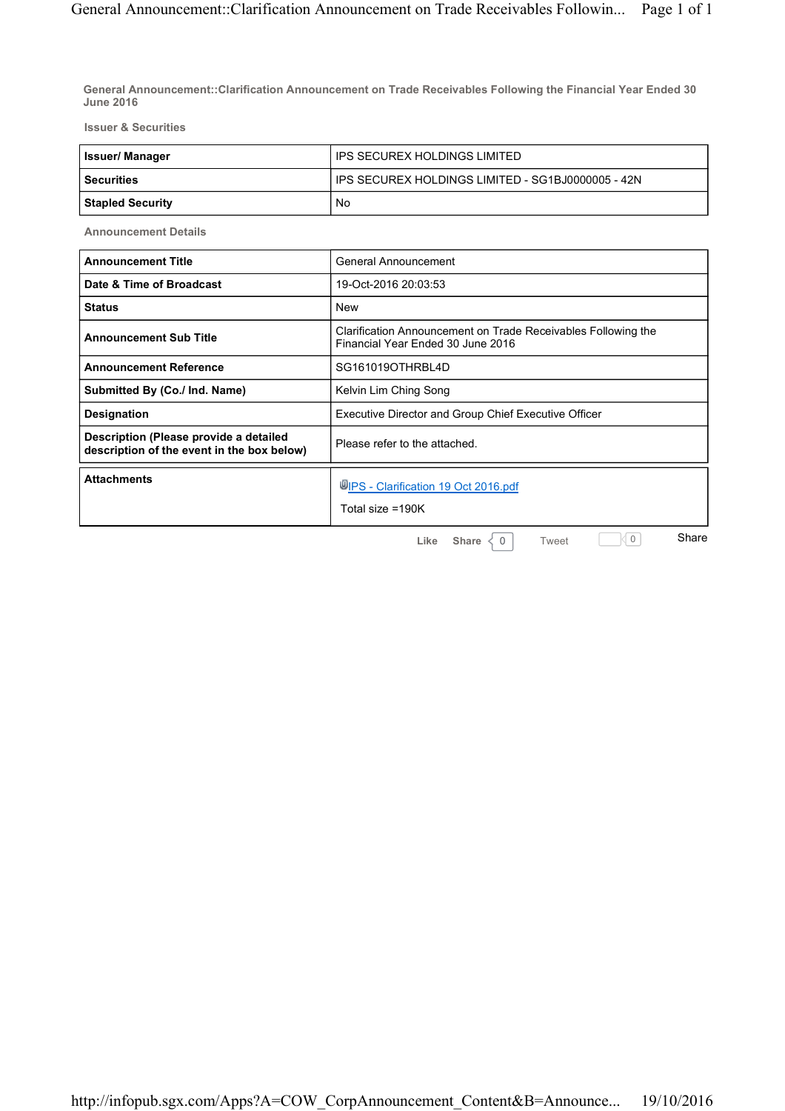**General Announcement::Clarification Announcement on Trade Receivables Following the Financial Year Ended 30 June 2016**

**Issuer & Securities**

| <b>Issuer/Manager</b> | IPS SECUREX HOLDINGS LIMITED                        |
|-----------------------|-----------------------------------------------------|
| l Securities          | I IPS SECUREX HOLDINGS LIMITED - SG1BJ0000005 - 42N |
| Stapled Security      | No                                                  |

**Announcement Details**

| <b>Announcement Title</b>                                                            | General Announcement                                                                               |
|--------------------------------------------------------------------------------------|----------------------------------------------------------------------------------------------------|
| Date & Time of Broadcast                                                             | 19-Oct-2016 20:03:53                                                                               |
| <b>Status</b>                                                                        | <b>New</b>                                                                                         |
| <b>Announcement Sub Title</b>                                                        | Clarification Announcement on Trade Receivables Following the<br>Financial Year Ended 30 June 2016 |
| <b>Announcement Reference</b>                                                        | SG161019OTHRBL4D                                                                                   |
| Submitted By (Co./ Ind. Name)                                                        | Kelvin Lim Ching Song                                                                              |
| Designation                                                                          | Executive Director and Group Chief Executive Officer                                               |
| Description (Please provide a detailed<br>description of the event in the box below) | Please refer to the attached.                                                                      |
| <b>Attachments</b>                                                                   | <b>WIPS</b> - Clarification 19 Oct 2016.pdf<br>Total size =190K                                    |
|                                                                                      | Share<br>0<br>Share<br>Like<br>Tweet<br>$\Omega$                                                   |